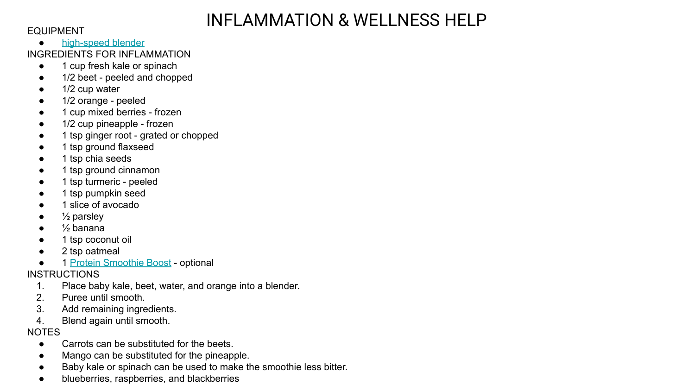## INFLAMMATION & WELLNESS HELP

#### EQUIPMENT

- [high-speed blender](https://www.anrdoezrs.net/click-7269187-13082899?url=https%3A%2F%2Fwww.vitamix.com%2Fus%2Fen_us%2F)
- INGREDIENTS FOR INFLAMMATION
	- 1 cup fresh kale or spinach
	- 1/2 beet peeled and chopped
	- 1/2 cup water
	- 1/2 orange peeled
	- 1 cup mixed berries frozen
	- 1/2 cup pineapple frozen
	- 1 tsp ginger root grated or chopped
	- 1 tsp ground flaxseed
	- 1 tsp chia seeds
	- 1 tsp ground cinnamon
	- 1 tsp turmeric peeled
	- 1 tsp pumpkin seed
	- 1 slice of avocado
	- $\frac{1}{2}$  parsley
	- $\bullet$   $\frac{1}{2}$  banana
	- 1 tsp coconut oil
	- 2 tsp oatmeal
	- 1 [Protein Smoothie Boost](https://simplegreensmoothies.com/protein-smoothie-boost) optional

## INSTRUCTIONS

- 1. Place baby kale, beet, water, and orange into a blender.
- 2. Puree until smooth.
- 3. Add remaining ingredients.
- 4. Blend again until smooth.

## **NOTES**

- Carrots can be substituted for the beets
- Mango can be substituted for the pineapple.
- Baby kale or spinach can be used to make the smoothie less bitter.
- blueberries, raspberries, and blackberries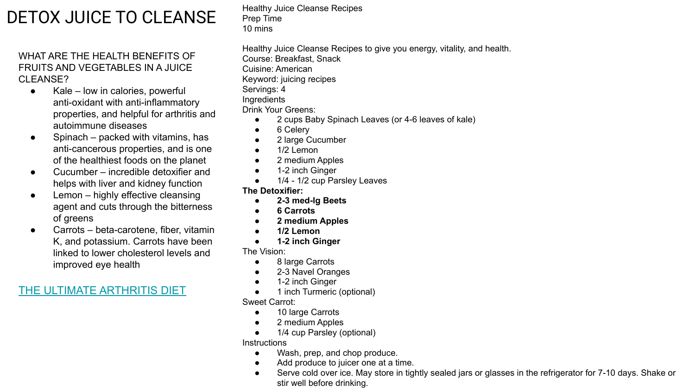# DETOX JUICE TO CLEANSE

WHAT ARE THE HEALTH BENEFITS OF FRUITS AND VEGETABLES IN A JUICE CLEANSE?

- $\bullet$  Kale low in calories, powerful anti-oxidant with anti-inflammatory properties, and helpful for arthritis and autoimmune diseases
- $\bullet$  Spinach packed with vitamins, has anti-cancerous properties, and is one of the healthiest foods on the planet
- Cucumber incredible detoxifier and helps with liver and kidney function
- Lemon highly effective cleansing agent and cuts through the bitterness of greens
- Carrots beta-carotene, fiber, vitamin K, and potassium. Carrots have been linked to lower cholesterol levels and improved eye health

### [THE ULTIMATE ARTHRITIS DIET](https://www.arthritis.org/health-wellness/healthy-living/nutrition/anti-inflammatory/the-ultimate-arthritis-diet)

Healthy Juice Cleanse Recipes Prep Time 10 mins

Healthy Juice Cleanse Recipes to give you energy, vitality, and health. Course: Breakfast, Snack Cuisine: American Keyword: juicing recipes Servings: 4 Ingredients Drink Your Greens:

- 2 cups Baby Spinach Leaves (or 4-6 leaves of kale)
- 6 Celery
- 2 large Cucumber
- $\bullet$  1/2 Lemon
- 2 medium Apples
- 1-2 inch Ginger
- 1/4 1/2 cup Parsley Leaves

#### **The Detoxifier:**

- **● 2-3 med-lg Beets**
- **● 6 Carrots**
- **● 2 medium Apples**
- **● 1/2 Lemon**
- **● 1-2 inch Ginger**

The Vision:

- 8 large Carrots
- 2-3 Navel Oranges
- 1-2 inch Ginger
- 1 inch Turmeric (optional)

Sweet Carrot:

- 10 large Carrots
- 2 medium Apples
- 1/4 cup Parsley (optional)

**Instructions** 

- Wash, prep, and chop produce.
- Add produce to juicer one at a time.
- Serve cold over ice. May store in tightly sealed jars or glasses in the refrigerator for 7-10 days. Shake or stir well before drinking.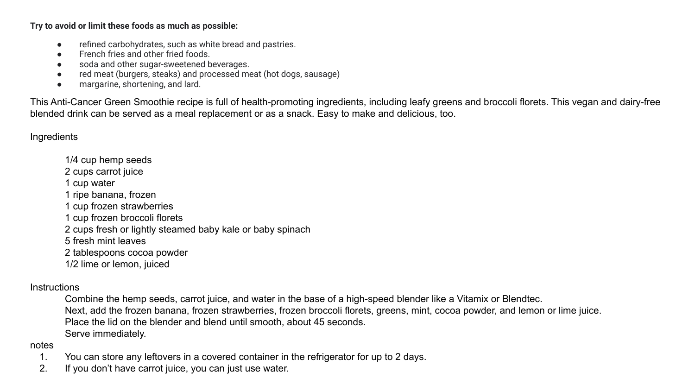**Try to avoid or limit these foods as much as possible:**

- refined carbohydrates, such as white bread and pastries.
- French fries and other fried foods.
- soda and other sugar-sweetened beverages.
- red meat (burgers, steaks) and processed meat (hot dogs, sausage)
- margarine, shortening, and lard.

This Anti-Cancer Green Smoothie recipe is full of health-promoting ingredients, including leafy greens and broccoli florets. This vegan and dairy-free blended drink can be served as a meal replacement or as a snack. Easy to make and delicious, too.

**Ingredients** 

1/4 cup hemp seeds 2 cups carrot juice 1 cup water 1 ripe banana, frozen 1 cup frozen strawberries 1 cup frozen broccoli florets 2 cups fresh or lightly steamed baby kale or baby spinach 5 fresh mint leaves 2 tablespoons cocoa powder 1/2 lime or lemon, juiced

#### **Instructions**

Combine the hemp seeds, carrot juice, and water in the base of a high-speed blender like a Vitamix or Blendtec. Next, add the frozen banana, frozen strawberries, frozen broccoli florets, greens, mint, cocoa powder, and lemon or lime juice. Place the lid on the blender and blend until smooth, about 45 seconds. Serve immediately.

#### notes

- 1. You can store any leftovers in a covered container in the refrigerator for up to 2 days.
- 2. If you don't have carrot juice, you can just use water.